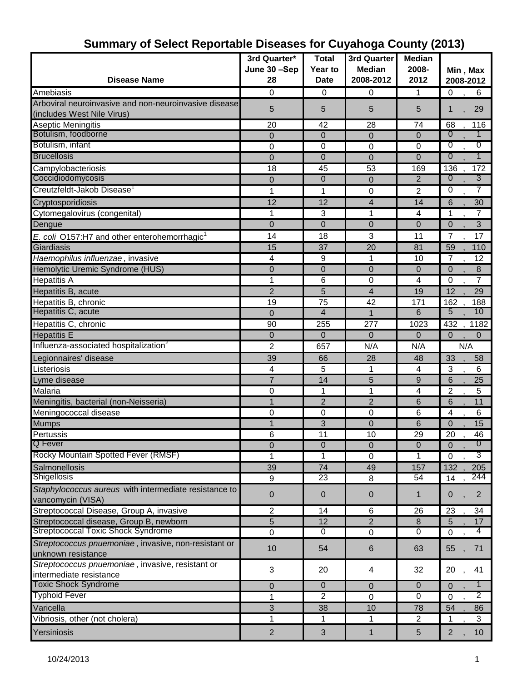|                                                                                     | 3rd Quarter*     | <b>Total</b>    | 3rd Quarter             | <b>Median</b>   |                                   |
|-------------------------------------------------------------------------------------|------------------|-----------------|-------------------------|-----------------|-----------------------------------|
|                                                                                     | June 30-Sep      | <b>Year to</b>  | <b>Median</b>           | 2008-           | Min, Max                          |
| <b>Disease Name</b>                                                                 | 28               | <b>Date</b>     | 2008-2012               | 2012            | 2008-2012                         |
| Amebiasis                                                                           | 0                | $\mathbf 0$     | 0                       | 1               | 0<br>6                            |
| Arboviral neuroinvasive and non-neuroinvasive disease<br>(includes West Nile Virus) | 5                | 5               | 5                       | 5               | 29<br>1                           |
| <b>Aseptic Meningitis</b>                                                           | 20               | 42              | 28                      | 74              | 68<br>116                         |
| Botulism, foodborne                                                                 | 0                | $\Omega$        | $\Omega$                | $\Omega$        | $\overline{0}$<br>1               |
| Botulism, infant                                                                    | 0                | 0               | 0                       | $\Omega$        | 0<br>ত                            |
| <b>Brucellosis</b>                                                                  | $\mathbf 0$      | $\overline{0}$  | $\mathbf 0$             | $\Omega$        | 0<br>1                            |
| Campylobacteriosis                                                                  | $\overline{18}$  | 45              | 53                      | 169             | 136<br>172                        |
| Coccidiodomycosis                                                                   | 0                | $\mathbf 0$     | $\mathbf 0$             | $\overline{2}$  | $\overline{0}$<br>3               |
| Creutzfeldt-Jakob Disease                                                           | 1                | 1               | 0                       | 2               | 0<br>7                            |
| Cryptosporidiosis                                                                   | $\overline{12}$  | 12              | $\overline{4}$          | 14              | 6<br>30                           |
| Cytomegalovirus (congenital)                                                        | 1                | 3               | 1                       | 4               | $\overline{7}$<br>1               |
| Dengue                                                                              | $\overline{0}$   | 0               | $\mathbf 0$             | $\Omega$        | 3<br>$\mathbf 0$                  |
| E. coli O157:H7 and other enterohemorrhagic <sup>1</sup>                            | 14               | 18              | 3                       | 11              | 7<br>17                           |
| Giardiasis                                                                          | 15               | 37              | 20                      | 81              | 59<br>110                         |
| Haemophilus influenzae, invasive                                                    | 4                | 9               | 1                       | 10              | 12<br>$\overline{7}$              |
| Hemolytic Uremic Syndrome (HUS)                                                     | $\boldsymbol{0}$ | $\mathbf 0$     | $\mathbf 0$             | $\mathbf{0}$    | $\boldsymbol{0}$<br>$\,8\,$       |
| <b>Hepatitis A</b>                                                                  | 1                | 6               | 0                       | 4               | $\overline{7}$<br>0               |
| Hepatitis B, acute                                                                  | $\overline{2}$   | 5               | $\overline{\mathbf{4}}$ | 19              | $\overline{12}$<br>29             |
| Hepatitis B, chronic                                                                | 19               | 75              | 42                      | 171             | 162<br>188                        |
| Hepatitis C, acute                                                                  | $\overline{0}$   | $\overline{4}$  | $\mathbf{1}$            | $\overline{6}$  | 5<br>10                           |
| Hepatitis C, chronic                                                                | 90               | 255             | 277                     | 1023            | 432<br>1182                       |
| <b>Hepatitis E</b>                                                                  | 0                | $\Omega$        | $\Omega$                | 0               | 0<br>$\Omega$                     |
| Influenza-associated hospitalization <sup>2</sup>                                   | $\overline{2}$   | 657             | N/A                     | N/A             | N/A                               |
| Legionnaires' disease                                                               | 39               | 66              | 28                      | 48              | 33<br>58                          |
| Listeriosis                                                                         | 4                | 5               | 1                       | 4               | $\overline{3}$<br>6               |
| Lyme disease                                                                        | $\overline{7}$   | 14              | 5                       | 9               | 6<br>25                           |
| Malaria                                                                             | 0                | 1               | 1                       | 4               | 2<br>5                            |
| Meningitis, bacterial (non-Neisseria)                                               | 1                | $\overline{2}$  | $\overline{2}$          | 6               | 6<br>11                           |
| Meningococcal disease                                                               | 0                | 0               | 0                       | 6               | 6<br>4                            |
| <b>Mumps</b>                                                                        |                  | $\overline{3}$  | $\mathbf 0$             | 6               | 15<br>$\mathbf 0$                 |
| Pertussis                                                                           | 6                | 11              | 10                      | $\overline{29}$ | 20<br>46                          |
| Q Fever                                                                             | 0                | 0               | $\Omega$                | $\mathbf{0}$    | $\overline{0}$<br>$\mathbf{0}$    |
| Rocky Mountain Spotted Fever (RMSF)                                                 | 1                | 1               | 0                       | 1               | З<br>0                            |
| Salmonellosis                                                                       | 39               | 74              | 49                      | 157             | 132<br>205                        |
| Shigellosis                                                                         | 9                | $\overline{23}$ | $\,8\,$                 | 54              | 244<br>14                         |
| Staphylococcus aureus with intermediate resistance to<br>vancomycin (VISA)          | 0                | 0               | 0                       | 1               | $\overline{2}$<br>$\pmb{0}$       |
| Streptococcal Disease, Group A, invasive                                            | $\overline{2}$   | 14              | 6                       | 26              | 23<br>34                          |
| Streptococcal disease, Group B, newborn                                             | 5                | 12              | $\overline{c}$          | $\bf 8$         | $\sqrt{5}$<br>17                  |
| <b>Streptococcal Toxic Shock Syndrome</b>                                           | $\overline{0}$   | $\mathbf 0$     | $\mathbf 0$             | 0               | 4<br>$\mathbf 0$                  |
| Streptococcus pnuemoniae, invasive, non-resistant or                                |                  |                 |                         |                 |                                   |
| unknown resistance                                                                  | 10               | 54              | 6                       | 63              | 55<br>71                          |
| Streptococcus pnuemoniae, invasive, resistant or                                    | 3                | 20              | 4                       | 32              | 20<br>41                          |
| intermediate resistance<br><b>Toxic Shock Syndrome</b>                              |                  | $\mathbf 0$     |                         | $\overline{0}$  | 1.                                |
| <b>Typhoid Fever</b>                                                                | 0                |                 | $\mathbf 0$             |                 | $\overline{0}$<br>2               |
|                                                                                     | 1                | $\overline{2}$  | $\overline{0}$          | $\overline{0}$  | $\mathbf 0$                       |
| Varicella                                                                           | 3                | 38              | 10                      | 78              | 54<br>86                          |
| Vibriosis, other (not cholera)                                                      | 1                | 1               | 1                       | $\overline{2}$  | 3<br>1                            |
| Yersiniosis                                                                         | $\overline{2}$   | 3               | $\mathbf{1}$            | $\sqrt{5}$      | $\overline{2}$<br>10 <sub>1</sub> |

## **Summary of Select Reportable Diseases for Cuyahoga County (2013)**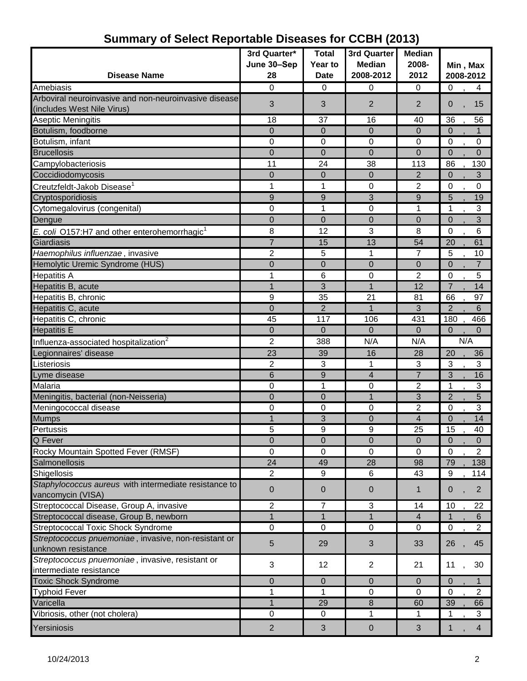|                                                                                     | 3rd Quarter*    | <b>Total</b>   | 3rd Quarter    | <b>Median</b>  |                                  |
|-------------------------------------------------------------------------------------|-----------------|----------------|----------------|----------------|----------------------------------|
|                                                                                     | June 30-Sep     | Year to        | <b>Median</b>  | 2008-          | Min, Max                         |
| <b>Disease Name</b>                                                                 | 28              | <b>Date</b>    | 2008-2012      | 2012           | 2008-2012                        |
| Amebiasis                                                                           | $\mathbf 0$     | $\mathbf 0$    | $\Omega$       | 0              | 0<br>$\overline{4}$              |
| Arboviral neuroinvasive and non-neuroinvasive disease<br>(includes West Nile Virus) | 3               | 3              | 2              | 2              | 15<br>$\mathbf 0$                |
| Aseptic Meningitis                                                                  | 18              | 37             | 16             | 40             | 36<br>56                         |
| Botulism, foodborne                                                                 | 0               | $\overline{0}$ | 0              | 0              | $\mathbf 0$<br>1                 |
| Botulism, infant                                                                    | 0               | 0              | 0              | 0              | $\pmb{0}$<br>$\mathbf 0$         |
| <b>Brucellosis</b>                                                                  | $\mathbf 0$     | $\mathbf 0$    | $\mathbf 0$    | $\mathbf 0$    | $\mathbf 0$<br>$\Omega$          |
| Campylobacteriosis                                                                  | 11              | 24             | 38             | 113            | 86<br>130                        |
| Coccidiodomycosis                                                                   | $\overline{0}$  | $\overline{0}$ | 0              | $\overline{2}$ | 3<br>$\mathbf 0$                 |
| Creutzfeldt-Jakob Disease <sup>1</sup>                                              | 1               | 1              | $\mathbf 0$    | $\overline{2}$ | $\mathbf 0$<br>$\mathbf 0$       |
| Cryptosporidiosis                                                                   | $9$             | 9              | 3              | 9              | 5<br>19                          |
| Cytomegalovirus (congenital)                                                        | 0               | 1              | 0              | 1              | 3<br>1                           |
| Dengue                                                                              | $\mathbf 0$     | $\overline{0}$ | $\Omega$       | $\Omega$       | 3<br>$\mathbf 0$                 |
| E. coli O157:H7 and other enterohemorrhagic <sup>1</sup>                            | 8               | 12             | 3              | 8              | $\mathbf 0$<br>6                 |
| Giardiasis                                                                          | $\overline{7}$  | 15             | 13             | 54             | 20<br>61                         |
| Haemophilus influenzae, invasive                                                    | $\overline{2}$  | 5              | 1              | $\overline{7}$ | 5<br>10                          |
| Hemolytic Uremic Syndrome (HUS)                                                     | $\mathbf 0$     | 0              | $\mathbf 0$    | 0              | $\overline{0}$<br>$\overline{7}$ |
| <b>Hepatitis A</b>                                                                  | 1               | 6              | 0              | $\overline{2}$ | 5<br>$\mathbf 0$                 |
| Hepatitis B, acute                                                                  | $\mathbf{1}$    | $\overline{3}$ | 1              | 12             | $\overline{7}$<br>14             |
| Hepatitis B, chronic                                                                | 9               | 35             | 21             | 81             | 97<br>66                         |
| Hepatitis C, acute                                                                  | $\overline{0}$  | $\overline{2}$ | $\mathbf{1}$   | 3              | $\overline{2}$<br>6              |
| Hepatitis C, chronic                                                                | 45              | 117            | 106            | 431            | 180<br>466                       |
| <b>Hepatitis E</b>                                                                  | $\mathbf 0$     | $\overline{0}$ | $\overline{0}$ | $\overline{0}$ | $\mathbf 0$<br>$\Omega$          |
| Influenza-associated hospitalization <sup>2</sup>                                   | $\overline{2}$  | 388            | N/A            | N/A            | N/A                              |
| Legionnaires' disease                                                               | 23              | 39             | 16             | 28             | 20<br>36                         |
| Listeriosis                                                                         | $\overline{2}$  | 3              | 1              | 3              | 3<br>3                           |
| Lyme disease                                                                        | 6               | 9              | 4              | $\overline{7}$ | 3<br>16                          |
| Malaria                                                                             | 0               | 1              | $\pmb{0}$      | $\overline{2}$ | 1<br>3                           |
| Meningitis, bacterial (non-Neisseria)                                               | $\mathbf 0$     | $\overline{0}$ | 1              | $\overline{3}$ | $\overline{2}$<br>5              |
| Meningococcal disease                                                               | 0               | 0              | $\mathbf 0$    | $\overline{2}$ | $\overline{3}$<br>0              |
| <b>Mumps</b>                                                                        | $\mathbf{1}$    | 3              | 0              | 4              | $\overline{0}$<br>14             |
| Pertussis                                                                           | 5               | 9              | 9              | 25             | 15<br>40                         |
| Q Fever                                                                             | $\pmb{0}$       | 0              | 0              | 0              | $\pmb{0}$<br>$\mathbf 0$         |
| Rocky Mountain Spotted Fever (RMSF)                                                 | $\Omega$        | 0              | $\mathbf{0}$   | 0              | $\overline{2}$<br>$\mathbf 0$    |
| Salmonellosis                                                                       | $\overline{24}$ | 49             | 28             | 98             | 79<br>138                        |
| Shigellosis                                                                         | $\overline{2}$  | 9              | $\,6\,$        | 43             | $\boldsymbol{9}$<br>114          |
| Staphylococcus aureus with intermediate resistance to                               |                 |                |                |                |                                  |
| vancomycin (VISA)                                                                   | $\pmb{0}$       | 0              | 0              | $\mathbf{1}$   | $\overline{2}$<br>0              |
| Streptococcal Disease, Group A, invasive                                            | $\overline{2}$  | 7              | 3              | 14             | 10<br>22                         |
| Streptococcal disease, Group B, newborn                                             | $\mathbf{1}$    | $\mathbf{1}$   | 1              | $\overline{4}$ | $\mathbf{1}$<br>6                |
| <b>Streptococcal Toxic Shock Syndrome</b>                                           | $\pmb{0}$       | 0              | 0              | 0              | $\overline{2}$<br>0              |
| Streptococcus pnuemoniae, invasive, non-resistant or                                |                 |                |                |                |                                  |
| unknown resistance                                                                  | $\sqrt{5}$      | 29             | 3              | 33             | 45<br>26                         |
| Streptococcus pnuemoniae, invasive, resistant or                                    | 3               | 12             | $\overline{2}$ | 21             | 11<br>30                         |
| intermediate resistance                                                             |                 |                |                |                |                                  |
| <b>Toxic Shock Syndrome</b>                                                         | $\mathbf 0$     | $\mathbf 0$    | 0              | $\overline{0}$ | $\mathbf 0$<br>1                 |
| <b>Typhoid Fever</b>                                                                | 1               | 1              | 0              | 0              | $\overline{2}$<br>$\mathbf 0$    |
| Varicella                                                                           | $\overline{1}$  | 29             | 8              | 60             | 39<br>66                         |
| Vibriosis, other (not cholera)                                                      | $\pmb{0}$       | $\pmb{0}$      | $\mathbf 1$    | 1              | $\mathbf{1}$<br>3                |
| Yersiniosis                                                                         | $\sqrt{2}$      | 3              | $\pmb{0}$      | 3              | $\mathbf{1}$<br>$\overline{4}$   |

# **Summary of Select Reportable Diseases for CCBH (2013)**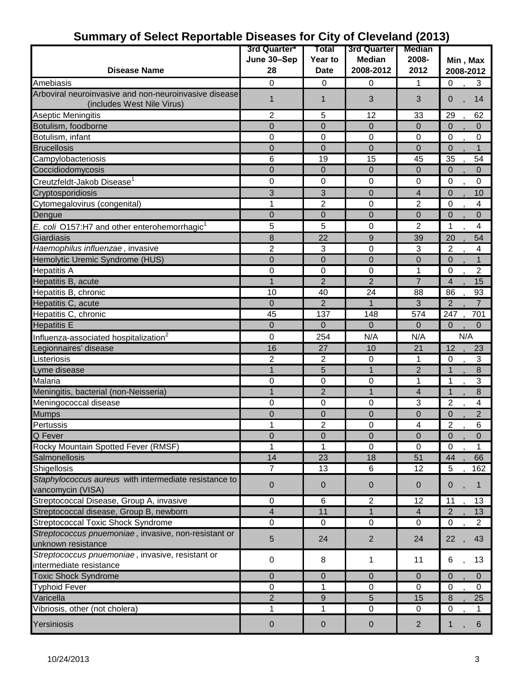|                                                                                     | 3rd Quarter*         | Total               | 3rd Quarter             | <b>Median</b>     |                                  |
|-------------------------------------------------------------------------------------|----------------------|---------------------|-------------------------|-------------------|----------------------------------|
|                                                                                     | June 30-Sep          | Year to             | <b>Median</b>           | 2008-             | Min, Max                         |
| <b>Disease Name</b>                                                                 | 28                   | <b>Date</b>         | 2008-2012               | 2012              | 2008-2012                        |
| Amebiasis                                                                           | 0                    | 0                   | $\Omega$                | 1                 | 0<br>3                           |
| Arboviral neuroinvasive and non-neuroinvasive disease<br>(includes West Nile Virus) | 1                    | 1                   | 3                       | 3                 | 14<br>0                          |
| <b>Aseptic Meningitis</b>                                                           | 2                    | 5                   | 12                      | 33                | 29<br>62                         |
| Botulism, foodborne                                                                 | $\mathbf 0$          | 0                   | $\mathbf{0}$            | $\mathbf{0}$      | $\mathbf 0$<br>$\mathbf{0}$      |
| Botulism, infant                                                                    | 0                    | 0                   | 0                       | 0                 | 0<br>$\mathbf 0$                 |
| <b>Brucellosis</b>                                                                  | $\mathbf 0$          | $\mathbf 0$         | $\mathbf 0$             | $\Omega$          | $\mathbf{1}$<br>$\overline{0}$   |
| Campylobacteriosis                                                                  | 6                    | 19                  | 15                      | 45                | 35<br>54                         |
| Coccidiodomycosis                                                                   | $\mathbf 0$          | $\mathbf 0$         | $\mathbf 0$             | $\mathbf{0}$      | $\mathbf 0$<br>$\mathbf 0$       |
| Creutzfeldt-Jakob Disease <sup>1</sup>                                              | 0                    | 0                   | $\mathbf 0$             | $\Omega$          | $\pmb{0}$<br>$\mathbf 0$         |
| Cryptosporidiosis                                                                   | 3                    | $\sqrt{3}$          | $\mathbf 0$             | $\overline{4}$    | 0<br>10                          |
| Cytomegalovirus (congenital)                                                        | 1                    | $\overline{2}$      | 0                       | $\overline{2}$    | 0<br>4                           |
| Dengue                                                                              | $\mathbf 0$          | 0                   | $\overline{0}$          | 0                 | 0<br>$\Omega$                    |
|                                                                                     | 5                    | 5                   | 0                       | 2                 | 1<br>4                           |
| E. coli O157:H7 and other enterohemorrhagic <sup>1</sup>                            |                      | 22                  |                         |                   |                                  |
| Giardiasis                                                                          | 8<br>$\overline{2}$  |                     | 9<br>$\pmb{0}$          | 39                | 20<br>54<br>2<br>4               |
| Haemophilus influenzae, invasive                                                    | $\mathbf 0$          | 3<br>$\mathbf 0$    | $\mathbf 0$             | 3<br>$\mathbf{0}$ | 0<br>1                           |
| Hemolytic Uremic Syndrome (HUS)<br><b>Hepatitis A</b>                               |                      |                     |                         | 1                 | $\overline{c}$                   |
| Hepatitis B, acute                                                                  | 0                    | 0<br>$\overline{2}$ | 0<br>$\overline{2}$     | $\overline{7}$    | 0<br>4<br>15                     |
| Hepatitis B, chronic                                                                | 10                   | 40                  | 24                      | 88                | 86<br>93                         |
| Hepatitis C, acute                                                                  | $\Omega$             | $\overline{2}$      | $\mathbf{1}$            | 3                 | $\overline{2}$<br>$\overline{7}$ |
| Hepatitis C, chronic                                                                | 45                   |                     | 148                     | 574               | 247                              |
|                                                                                     | $\mathbf 0$          | 137<br>$\Omega$     | $\Omega$                | 0                 | 701<br>$\mathbf 0$               |
| <b>Hepatitis E</b>                                                                  |                      |                     | N/A                     |                   | $\mathbf{0}$<br>N/A              |
| Influenza-associated hospitalization <sup>2</sup>                                   | 0                    | 254                 |                         | N/A               |                                  |
| Legionnaires' disease                                                               | 16<br>$\overline{2}$ | 27                  | 10                      | 21                | 12<br>23                         |
| Listeriosis                                                                         |                      | $\overline{2}$      | 0                       | 1                 | $\mathbf{3}$<br>0                |
| Lyme disease                                                                        | 1                    | 5                   | $\mathbf{1}$            | $\overline{2}$    | 1<br>8                           |
| Malaria                                                                             | 0                    | 0                   | 0                       | 1                 | 3<br>1<br>$\mathbf{1}$           |
| Meningitis, bacterial (non-Neisseria)                                               | 1                    | $\overline{2}$      | $\mathbf{1}$            | $\overline{4}$    | 8                                |
| Meningococcal disease                                                               | 0                    | 0                   | 0                       | 3                 | $\overline{c}$<br>4              |
| <b>Mumps</b><br>Pertussis                                                           | $\overline{0}$       | $\mathbf 0$         | $\mathbf 0$<br>$\Omega$ | $\mathbf 0$<br>4  | 0<br>2<br>$\sqrt{2}$<br>6        |
|                                                                                     |                      | $\overline{c}$      | $\pmb{0}$               | $\mathbf{0}$      | $\pmb{0}$                        |
| Q Fever<br>Rocky Mountain Spotted Fever (RMSF)                                      | 0<br>1               | 0<br>1              | 0                       | 0                 | $\mathbf 0$<br>0<br>1            |
| Salmonellosis                                                                       | 14                   | 23                  | 18                      | 51                | 44<br>66                         |
| Shigellosis                                                                         | $\overline{7}$       | 13                  | $6\phantom{1}$          | 12                | 5<br>162                         |
| Staphylococcus aureus with intermediate resistance to                               |                      |                     |                         |                   |                                  |
| vancomycin (VISA)                                                                   | $\pmb{0}$            | 0                   | $\boldsymbol{0}$        | 0                 | 0<br>1                           |
| Streptococcal Disease, Group A, invasive                                            | $\mathbf 0$          | 6                   | 2                       | 12                | 11<br>13                         |
| Streptococcal disease, Group B, newborn                                             | $\overline{4}$       | 11                  | $\mathbf{1}$            | $\overline{4}$    | $\overline{c}$<br>13             |
| <b>Streptococcal Toxic Shock Syndrome</b>                                           | $\pmb{0}$            | $\mathbf 0$         | $\pmb{0}$               | 0                 | $\pmb{0}$<br>$\overline{2}$      |
| Streptococcus pnuemoniae, invasive, non-resistant or                                |                      |                     |                         |                   |                                  |
| unknown resistance                                                                  | 5                    | 24                  | $\overline{2}$          | 24                | 22<br>43                         |
| Streptococcus pnuemoniae, invasive, resistant or                                    | 0                    | 8                   | 1                       | 11                | 13<br>6                          |
| intermediate resistance                                                             |                      |                     |                         |                   |                                  |
| <b>Toxic Shock Syndrome</b>                                                         | $\pmb{0}$            | $\pmb{0}$           | $\pmb{0}$               | $\mathbf 0$       | $\pmb{0}$<br>$\mathbf{0}$        |
| <b>Typhoid Fever</b>                                                                | 0                    | 1                   | $\pmb{0}$               | $\mathbf 0$       | $\pmb{0}$<br>$\mathbf 0$         |
| Varicella                                                                           | $\overline{2}$       | 9                   | 5                       | 15                | 8<br>25                          |
| Vibriosis, other (not cholera)                                                      | 1                    | $\mathbf 1$         | $\mathbf 0$             | $\mathbf 0$       | $\pmb{0}$<br>$\mathbf{1}$        |
| Yersiniosis                                                                         | $\pmb{0}$            | $\pmb{0}$           | $\pmb{0}$               | $\overline{2}$    | 6<br>1                           |

## **Summary of Select Reportable Diseases for City of Cleveland (2013)**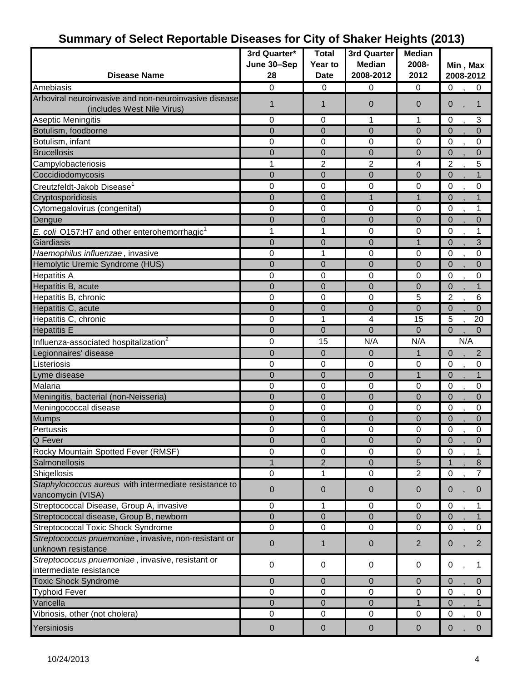### **Summary of Select Reportable Diseases for City of Shaker Heights (2013)**

|                                                                    | 3rd Quarter*      | <b>Total</b>           | 3rd Quarter                | <b>Median</b>  |                                |
|--------------------------------------------------------------------|-------------------|------------------------|----------------------------|----------------|--------------------------------|
| <b>Disease Name</b>                                                | June 30-Sep<br>28 | Year to<br><b>Date</b> | <b>Median</b><br>2008-2012 | 2008-<br>2012  | Min, Max                       |
|                                                                    |                   |                        |                            |                | 2008-2012                      |
| Amebiasis<br>Arboviral neuroinvasive and non-neuroinvasive disease | 0                 | $\mathbf 0$            | 0                          | $\mathbf 0$    | 0<br>$\mathbf 0$               |
| (includes West Nile Virus)                                         | $\mathbf{1}$      | 1                      | $\mathbf 0$                | 0              | $\mathbf 0$<br>1               |
| Aseptic Meningitis                                                 | 0                 | 0                      | 1                          | 1              | 3<br>0                         |
| Botulism, foodborne                                                | $\overline{0}$    | $\overline{0}$         | $\Omega$                   | $\overline{0}$ | $\mathbf 0$<br>$\overline{0}$  |
| Botulism, infant                                                   | 0                 | 0                      | 0                          | 0              | 0<br>0                         |
| <b>Brucellosis</b>                                                 | $\overline{0}$    | $\mathbf 0$            | $\mathbf 0$                | $\overline{0}$ | $\mathbf 0$<br>0               |
| Campylobacteriosis                                                 | 1                 | $\overline{2}$         | $\overline{2}$             | 4              | $\overline{2}$<br>5            |
| Coccidiodomycosis                                                  | $\overline{0}$    | $\overline{0}$         | $\mathbf 0$                | $\Omega$       | $\mathbf 0$<br>1               |
| Creutzfeldt-Jakob Disease <sup>1</sup>                             | 0                 | 0                      | 0                          | 0              | $\mathbf 0$<br>0               |
| Cryptosporidiosis                                                  | $\overline{0}$    | $\Omega$               | $\mathbf{1}$               | $\mathbf{1}$   | $\mathbf 0$<br>1               |
| Cytomegalovirus (congenital)                                       | 0                 | 0                      | 0                          | 0              | 0<br>1                         |
| Dengue                                                             | $\overline{0}$    | $\mathbf 0$            | $\overline{0}$             | $\overline{0}$ | $\overline{0}$<br>0            |
| E. coli O157:H7 and other enterohemorrhagic <sup>1</sup>           | 1                 | 1                      | 0                          | 0              | 0<br>1                         |
| Giardiasis                                                         | 0                 | $\overline{0}$         | $\mathbf 0$                | 1              | 3<br>0                         |
| Haemophilus influenzae, invasive                                   | 0                 | 1                      | 0                          | 0              | 0<br>0                         |
| Hemolytic Uremic Syndrome (HUS)                                    | $\overline{0}$    | $\Omega$               | $\mathbf 0$                | $\mathbf 0$    | $\overline{0}$<br>$\mathbf{0}$ |
| <b>Hepatitis A</b>                                                 | 0                 | 0                      | 0                          | 0              | 0<br>0                         |
| Hepatitis B, acute                                                 | $\overline{0}$    | $\mathbf 0$            | $\mathbf 0$                | $\overline{0}$ | $\overline{0}$                 |
| Hepatitis B, chronic                                               | 0                 | 0                      | 0                          | 5              | $\overline{2}$<br>6            |
| Hepatitis C, acute                                                 | $\overline{0}$    | $\overline{0}$         | $\mathbf 0$                | $\mathbf 0$    | $\mathbf 0$<br>$\mathbf{0}$    |
| Hepatitis C, chronic                                               | 0                 | 1                      | 4                          | 15             | 5<br>20                        |
| <b>Hepatitis E</b>                                                 | $\overline{0}$    | $\overline{0}$         | $\mathbf 0$                | 0              | $\mathbf 0$<br>$\Omega$        |
| Influenza-associated hospitalization <sup>2</sup>                  | 0                 | 15                     | N/A                        | N/A            | N/A                            |
| Legionnaires' disease                                              | $\overline{0}$    | $\Omega$               | $\mathbf 0$                | $\mathbf{1}$   | $\mathbf 0$<br>$\overline{2}$  |
| Listeriosis                                                        | 0                 | 0                      | 0                          | 0              | $\overline{0}$<br>$\pmb{0}$    |
| Lyme disease                                                       | $\overline{0}$    | $\mathbf 0$            | $\mathbf 0$                | $\mathbf{1}$   | $\mathbf 0$                    |
| Malaria                                                            | 0                 | 0                      | $\pmb{0}$                  | 0              | $\boldsymbol{0}$<br>$\pmb{0}$  |
| Meningitis, bacterial (non-Neisseria)                              | $\overline{0}$    | $\mathbf 0$            | $\mathbf 0$                | $\Omega$       | 0<br>$\overline{0}$            |
| Meningococcal disease                                              | 0                 | 0                      | 0                          | 0              | 0<br>0                         |
| <b>Mumps</b>                                                       | 0                 | $\mathbf 0$            | $\boldsymbol{0}$           | 0              | $\mathbf 0$<br>0               |
| Pertussis                                                          | 0                 | 0                      | 0                          | 0              | 0<br>$\pmb{0}$                 |
| Q Fever                                                            | $\overline{0}$    | $\overline{0}$         | $\overline{0}$             | $\Omega$       | $\Omega$<br>$\mathbf{0}$       |
| Rocky Mountain Spotted Fever (RMSF)                                | 0                 | 0                      | 0                          | 0              | $\boldsymbol{0}$               |
| Salmonellosis                                                      | 1                 | $\overline{2}$         | $\mathbf 0$                | 5              | $\overline{1}$<br>$\bf 8$      |
| Shigellosis                                                        | 0                 | 1                      | $\pmb{0}$                  | $\overline{2}$ | $\boldsymbol{0}$<br>7          |
| Staphylococcus aureus with intermediate resistance to              |                   |                        |                            |                |                                |
| vancomycin (VISA)                                                  | 0                 | 0                      | 0                          | 0              | 0<br>0                         |
| Streptococcal Disease, Group A, invasive                           | 0                 | 1                      | 0                          | 0              | 0<br>1                         |
| Streptococcal disease, Group B, newborn                            | 0                 | $\mathbf 0$            | $\pmb{0}$                  | $\mathbf{0}$   | $\mathbf 0$                    |
| <b>Streptococcal Toxic Shock Syndrome</b>                          | 0                 | 0                      | $\mathbf 0$                | $\mathbf 0$    | 0<br>0                         |
| Streptococcus pnuemoniae, invasive, non-resistant or               |                   |                        | $\pmb{0}$                  | $\overline{2}$ |                                |
| unknown resistance                                                 | 0                 | 1                      |                            |                | $\pmb{0}$<br>$\overline{2}$    |
| Streptococcus pnuemoniae, invasive, resistant or                   | 0                 | 0                      | 0                          | 0              | 0<br>1                         |
| intermediate resistance                                            |                   |                        |                            |                |                                |
| <b>Toxic Shock Syndrome</b>                                        | 0                 | $\mathbf 0$            | $\mathbf 0$                | $\mathbf{0}$   | $\mathbf 0$<br>$\mathbf{0}$    |
| <b>Typhoid Fever</b>                                               | 0                 | 0                      | 0                          | 0              | $\boldsymbol{0}$<br>0          |
| Varicella                                                          | 0                 | 0                      | $\pmb{0}$                  | 1              | 0<br>1                         |
| Vibriosis, other (not cholera)                                     | 0                 | 0                      | 0                          | 0              | $\mathbf 0$<br>0               |
| Yersiniosis                                                        | $\pmb{0}$         | $\pmb{0}$              | $\pmb{0}$                  | $\pmb{0}$      | $\pmb{0}$<br>$\pmb{0}$         |